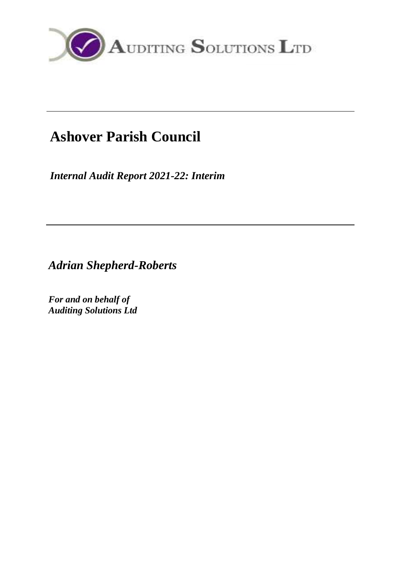

# **Ashover Parish Council**

*Internal Audit Report 2021-22: Interim*

*Adrian Shepherd-Roberts*

*For and on behalf of Auditing Solutions Ltd*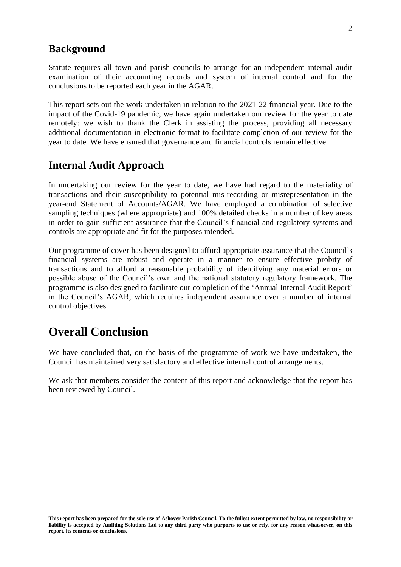#### **Background**

Statute requires all town and parish councils to arrange for an independent internal audit examination of their accounting records and system of internal control and for the conclusions to be reported each year in the AGAR.

This report sets out the work undertaken in relation to the 2021-22 financial year. Due to the impact of the Covid-19 pandemic, we have again undertaken our review for the year to date remotely: we wish to thank the Clerk in assisting the process, providing all necessary additional documentation in electronic format to facilitate completion of our review for the year to date. We have ensured that governance and financial controls remain effective.

#### **Internal Audit Approach**

In undertaking our review for the year to date, we have had regard to the materiality of transactions and their susceptibility to potential mis-recording or misrepresentation in the year-end Statement of Accounts/AGAR. We have employed a combination of selective sampling techniques (where appropriate) and 100% detailed checks in a number of key areas in order to gain sufficient assurance that the Council's financial and regulatory systems and controls are appropriate and fit for the purposes intended.

Our programme of cover has been designed to afford appropriate assurance that the Council's financial systems are robust and operate in a manner to ensure effective probity of transactions and to afford a reasonable probability of identifying any material errors or possible abuse of the Council's own and the national statutory regulatory framework. The programme is also designed to facilitate our completion of the 'Annual Internal Audit Report' in the Council's AGAR, which requires independent assurance over a number of internal control objectives.

### **Overall Conclusion**

We have concluded that, on the basis of the programme of work we have undertaken, the Council has maintained very satisfactory and effective internal control arrangements.

We ask that members consider the content of this report and acknowledge that the report has been reviewed by Council.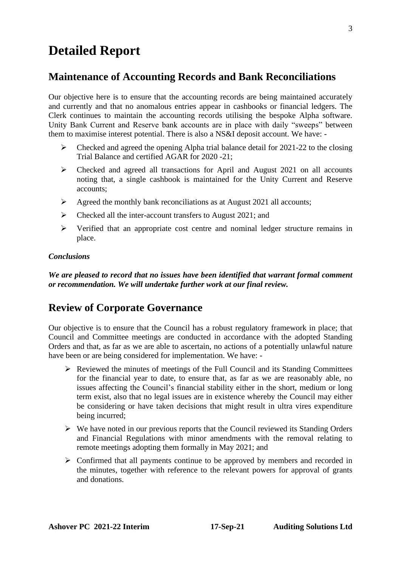## **Detailed Report**

#### **Maintenance of Accounting Records and Bank Reconciliations**

Our objective here is to ensure that the accounting records are being maintained accurately and currently and that no anomalous entries appear in cashbooks or financial ledgers. The Clerk continues to maintain the accounting records utilising the bespoke Alpha software. Unity Bank Current and Reserve bank accounts are in place with daily "sweeps" between them to maximise interest potential. There is also a NS&I deposit account. We have: -

- ➢ Checked and agreed the opening Alpha trial balance detail for 2021-22 to the closing Trial Balance and certified AGAR for 2020 -21;
- ➢ Checked and agreed all transactions for April and August 2021 on all accounts noting that, a single cashbook is maintained for the Unity Current and Reserve accounts;
- $\triangleright$  Agreed the monthly bank reconciliations as at August 2021 all accounts;
- ➢ Checked all the inter-account transfers to August 2021; and
- ➢ Verified that an appropriate cost centre and nominal ledger structure remains in place.

#### *Conclusions*

*We are pleased to record that no issues have been identified that warrant formal comment or recommendation. We will undertake further work at our final review.*

### **Review of Corporate Governance**

Our objective is to ensure that the Council has a robust regulatory framework in place; that Council and Committee meetings are conducted in accordance with the adopted Standing Orders and that, as far as we are able to ascertain, no actions of a potentially unlawful nature have been or are being considered for implementation. We have: -

- ➢ Reviewed the minutes of meetings of the Full Council and its Standing Committees for the financial year to date, to ensure that, as far as we are reasonably able, no issues affecting the Council's financial stability either in the short, medium or long term exist, also that no legal issues are in existence whereby the Council may either be considering or have taken decisions that might result in ultra vires expenditure being incurred;
- $\triangleright$  We have noted in our previous reports that the Council reviewed its Standing Orders and Financial Regulations with minor amendments with the removal relating to remote meetings adopting them formally in May 2021; and
- $\triangleright$  Confirmed that all payments continue to be approved by members and recorded in the minutes, together with reference to the relevant powers for approval of grants and donations.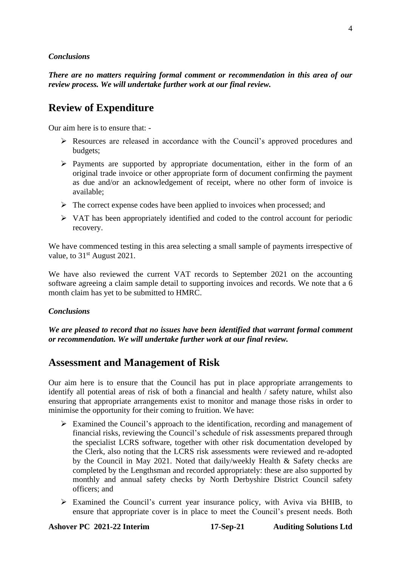#### *Conclusions*

*There are no matters requiring formal comment or recommendation in this area of our review process. We will undertake further work at our final review.*

### **Review of Expenditure**

Our aim here is to ensure that: -

- ➢ Resources are released in accordance with the Council's approved procedures and budgets;
- ➢ Payments are supported by appropriate documentation, either in the form of an original trade invoice or other appropriate form of document confirming the payment as due and/or an acknowledgement of receipt, where no other form of invoice is available;
- ➢ The correct expense codes have been applied to invoices when processed; and
- $\triangleright$  VAT has been appropriately identified and coded to the control account for periodic recovery.

We have commenced testing in this area selecting a small sample of payments irrespective of value, to 31<sup>st</sup> August 2021.

We have also reviewed the current VAT records to September 2021 on the accounting software agreeing a claim sample detail to supporting invoices and records. We note that a 6 month claim has yet to be submitted to HMRC.

#### *Conclusions*

*We are pleased to record that no issues have been identified that warrant formal comment or recommendation. We will undertake further work at our final review.*

### **Assessment and Management of Risk**

Our aim here is to ensure that the Council has put in place appropriate arrangements to identify all potential areas of risk of both a financial and health / safety nature, whilst also ensuring that appropriate arrangements exist to monitor and manage those risks in order to minimise the opportunity for their coming to fruition. We have:

- ➢ Examined the Council's approach to the identification, recording and management of financial risks, reviewing the Council's schedule of risk assessments prepared through the specialist LCRS software, together with other risk documentation developed by the Clerk, also noting that the LCRS risk assessments were reviewed and re-adopted by the Council in May 2021. Noted that daily/weekly Health & Safety checks are completed by the Lengthsman and recorded appropriately: these are also supported by monthly and annual safety checks by North Derbyshire District Council safety officers; and
- ➢ Examined the Council's current year insurance policy, with Aviva via BHIB, to ensure that appropriate cover is in place to meet the Council's present needs. Both

**Ashover PC 2021-22 Interim 17-Sep-21 Auditing Solutions Ltd**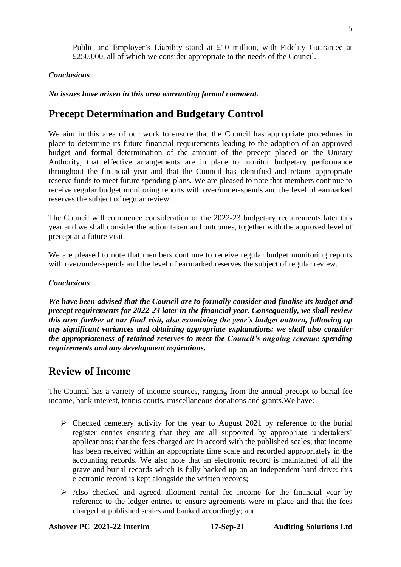Public and Employer's Liability stand at £10 million, with Fidelity Guarantee at £250,000, all of which we consider appropriate to the needs of the Council.

#### *Conclusions*

*No issues have arisen in this area warranting formal comment.*

### **Precept Determination and Budgetary Control**

We aim in this area of our work to ensure that the Council has appropriate procedures in place to determine its future financial requirements leading to the adoption of an approved budget and formal determination of the amount of the precept placed on the Unitary Authority, that effective arrangements are in place to monitor budgetary performance throughout the financial year and that the Council has identified and retains appropriate reserve funds to meet future spending plans. We are pleased to note that members continue to receive regular budget monitoring reports with over/under-spends and the level of earmarked reserves the subject of regular review.

The Council will commence consideration of the 2022-23 budgetary requirements later this year and we shall consider the action taken and outcomes, together with the approved level of precept at a future visit.

We are pleased to note that members continue to receive regular budget monitoring reports with over/under-spends and the level of earmarked reserves the subject of regular review.

#### *Conclusions*

*We have been advised that the Council are to formally consider and finalise its budget and precept requirements for 2022-23 later in the financial year. Consequently, we shall review this area further at our final visit, also examining the year's budget outturn, following up any significant variances and obtaining appropriate explanations: we shall also consider the appropriateness of retained reserves to meet the Council's ongoing revenue spending requirements and any development aspirations.*

#### **Review of Income**

The Council has a variety of income sources, ranging from the annual precept to burial fee income, bank interest, tennis courts, miscellaneous donations and grants.We have:

- $\triangleright$  Checked cemetery activity for the year to August 2021 by reference to the burial register entries ensuring that they are all supported by appropriate undertakers' applications; that the fees charged are in accord with the published scales; that income has been received within an appropriate time scale and recorded appropriately in the accounting records. We also note that an electronic record is maintained of all the grave and burial records which is fully backed up on an independent hard drive: this electronic record is kept alongside the written records;
- $\triangleright$  Also checked and agreed allotment rental fee income for the financial year by reference to the ledger entries to ensure agreements were in place and that the fees charged at published scales and banked accordingly; and